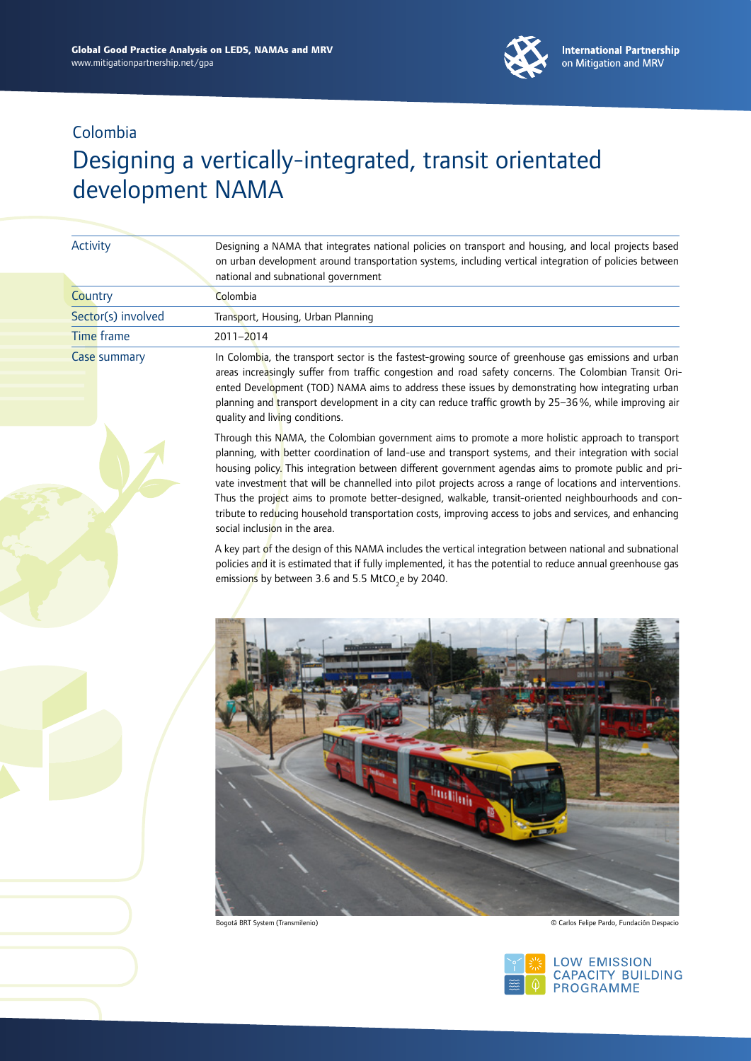

# Designing a vertically-integrated, transit orientated development NAMA

| Designing a NAMA that integrates national policies on transport and housing, and local projects based<br>on urban development around transportation systems, including vertical integration of policies between<br>national and subnational government                                                                                                                                                                                                                                                                                                                                                                                                                                   |
|------------------------------------------------------------------------------------------------------------------------------------------------------------------------------------------------------------------------------------------------------------------------------------------------------------------------------------------------------------------------------------------------------------------------------------------------------------------------------------------------------------------------------------------------------------------------------------------------------------------------------------------------------------------------------------------|
| Colombia                                                                                                                                                                                                                                                                                                                                                                                                                                                                                                                                                                                                                                                                                 |
| Transport, Housing, Urban Planning                                                                                                                                                                                                                                                                                                                                                                                                                                                                                                                                                                                                                                                       |
| 2011-2014                                                                                                                                                                                                                                                                                                                                                                                                                                                                                                                                                                                                                                                                                |
| In Colombia, the transport sector is the fastest-growing source of greenhouse gas emissions and urban<br>areas increasingly suffer from traffic congestion and road safety concerns. The Colombian Transit Ori-<br>ented Development (TOD) NAMA aims to address these issues by demonstrating how integrating urban<br>planning and transport development in a city can reduce traffic growth by 25-36%, while improving air<br>quality and living conditions.                                                                                                                                                                                                                           |
| Through this NAMA, the Colombian government aims to promote a more holistic approach to transport<br>planning, with better coordination of land-use and transport systems, and their integration with social<br>housing policy. This integration between different government agendas aims to promote public and pri-<br>vate investment that will be channelled into pilot projects across a range of locations and interventions.<br>Thus the project aims to promote better-designed, walkable, transit-oriented neighbourhoods and con-<br>tribute to reducing household transportation costs, improving access to jobs and services, and enhancing<br>social inclusion in the area. |
| A key part of the design of this NAMA includes the vertical integration between national and subnational<br>policies and it is estimated that if fully implemented, it has the potential to reduce annual greenhouse gas<br>emissions by between 3.6 and 5.5 MtCO <sub>2</sub> e by 2040.                                                                                                                                                                                                                                                                                                                                                                                                |
|                                                                                                                                                                                                                                                                                                                                                                                                                                                                                                                                                                                                                                                                                          |
|                                                                                                                                                                                                                                                                                                                                                                                                                                                                                                                                                                                                                                                                                          |

Bogotá BRT System (Transmilenio) © Carlos Felipe Pardo, Fundación Despacio

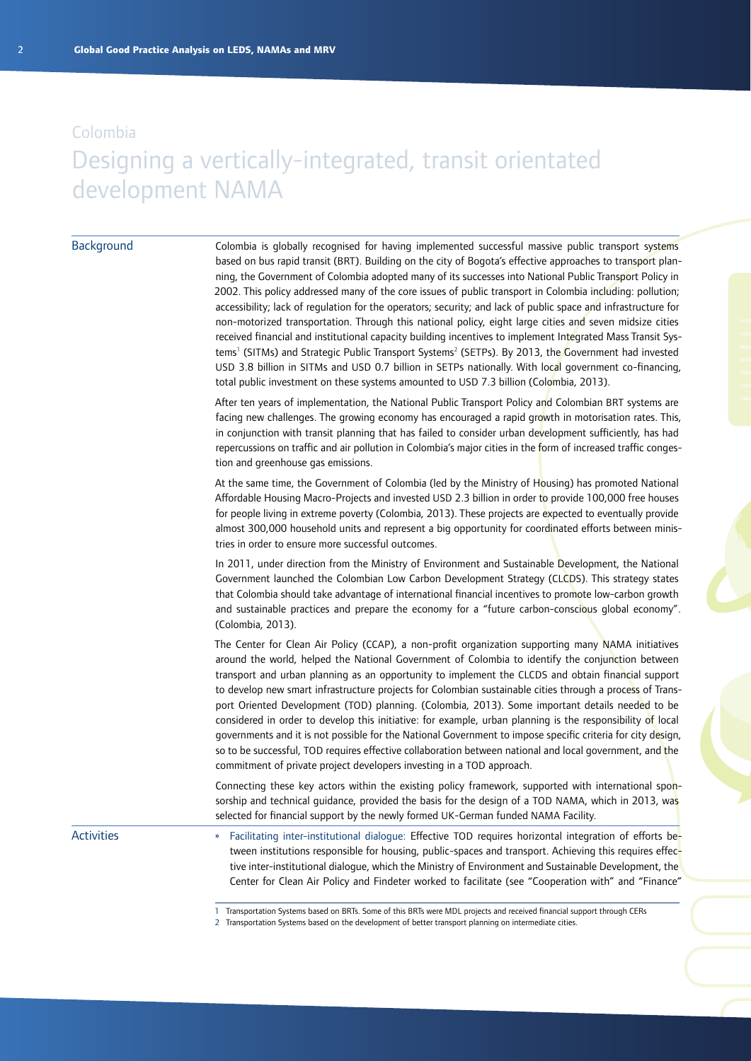### Designing a vertically-integrated, transit orientated development NAMA

#### **Background**

Colombia is globally recognised for having implemented successful massive public transport systems based on bus rapid transit (BRT). Building on the city of Bogota's effective approaches to transport planning, the Government of Colombia adopted many of its successes into National Public Transport Policy in 2002. This policy addressed many of the core issues of public transport in Colombia including: pollution; accessibility; lack of regulation for the operators; security; and lack of public space and infrastructure for non-motorized transportation. Through this national policy, eight large cities and seven midsize cities received financial and institutional capacity building incentives to implement Integrated Mass Transit Systems<sup>1</sup> (SITMs) and Strategic Public Transport Systems<sup>2</sup> (SETPs). By 2013, the Government had invested USD 3.8 billion in SITMs and USD 0.7 billion in SETPs nationally. With local government co-financing, total public investment on these systems amounted to USD 7.3 billion (Colombia, 2013).

After ten years of implementation, the National Public Transport Policy and Colombian BRT systems are facing new challenges. The growing economy has encouraged a rapid growth in motorisation rates. This, in conjunction with transit planning that has failed to consider urban development sufficiently, has had repercussions on traffic and air pollution in Colombia's major cities in the form of increased traffic congestion and greenhouse gas emissions.

At the same time, the Government of Colombia (led by the Ministry of Housing) has promoted National Affordable Housing Macro-Projects and invested USD 2.3 billion in order to provide 100,000 free houses for people living in extreme poverty (Colombia, 2013). These projects are expected to eventually provide almost 300,000 household units and represent a big opportunity for coordinated efforts between ministries in order to ensure more successful outcomes.

In 2011, under direction from the Ministry of Environment and Sustainable Development, the National Government launched the Colombian Low Carbon Development Strategy (CLCDS). This strategy states that Colombia should take advantage of international financial incentives to promote low-carbon growth and sustainable practices and prepare the economy for a "future carbon-conscious global economy". (Colombia, 2013).

The Center for Clean Air Policy (CCAP), a non-profit organization supporting many NAMA initiatives around the world, helped the National Government of Colombia to identify the conjunction between transport and urban planning as an opportunity to implement the CLCDS and obtain financial support to develop new smart infrastructure projects for Colombian sustainable cities through a process of Transport Oriented Development (TOD) planning. (Colombia, 2013). Some important details needed to be considered in order to develop this initiative: for example, urban planning is the responsibility of local governments and it is not possible for the National Government to impose specific criteria for city design, so to be successful, TOD requires effective collaboration between national and local government, and the commitment of private project developers investing in a TOD approach.

Connecting these key actors within the existing policy framework, supported with international sponsorship and technical guidance, provided the basis for the design of a TOD NAMA, which in 2013, was selected for financial support by the newly formed UK-German funded NAMA Facility.

Activities

» Facilitating inter-institutional dialogue: Effective TOD requires horizontal integration of efforts between institutions responsible for housing, public-spaces and transport. Achieving this requires effective inter-institutional dialogue, which the Ministry of Environment and Sustainable Development, the Center for Clean Air Policy and Findeter worked to facilitate (see "Cooperation with" and "Finance"

- 1 Transportation Systems based on BRTs. Some of this BRTs were MDL projects and received financial support through CERs
- 2 Transportation Systems based on the development of better transport planning on intermediate cities.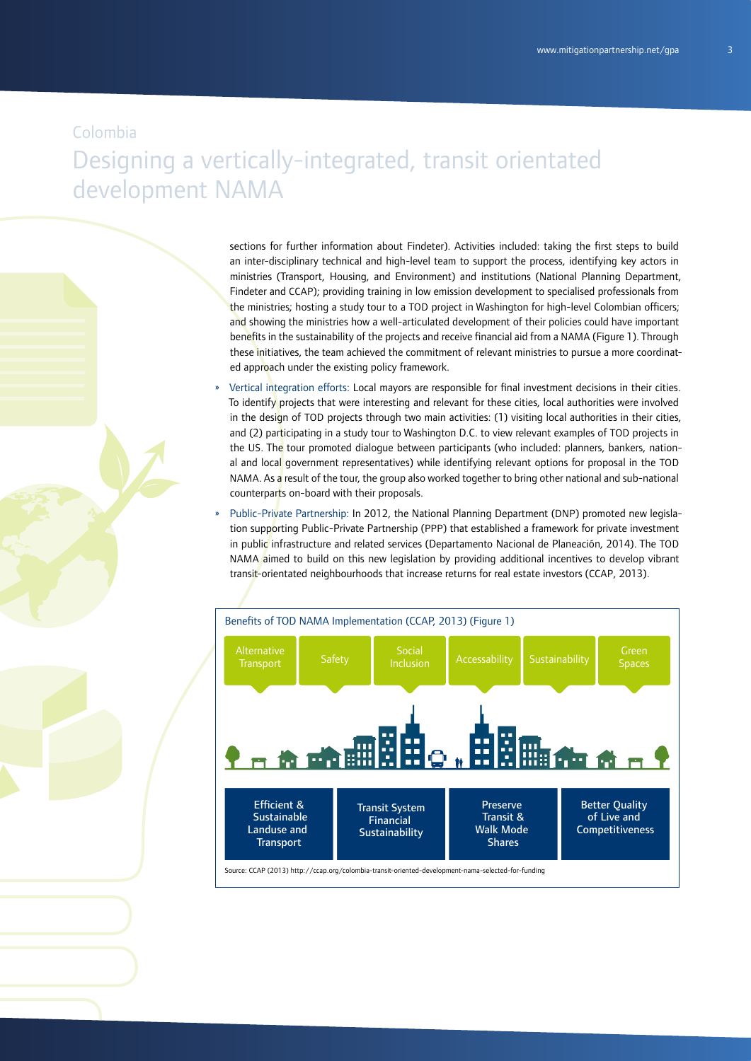# Designing a vertically-integrated, transit orientated development NAMA

sections for further information about Findeter). Activities included: taking the first steps to build an inter-disciplinary technical and high-level team to support the process, identifying key actors in ministries (Transport, Housing, and Environment) and institutions (National Planning Department, Findeter and CCAP); providing training in low emission development to specialised professionals from the ministries; hosting a study tour to a TOD project in Washington for high-level Colombian officers; and showing the ministries how a well-articulated development of their policies could have important benefits in the sustainability of the projects and receive financial aid from a NAMA (Figure 1). Through these initiatives, the team achieved the commitment of relevant ministries to pursue a more coordinated approach under the existing policy framework.

- » Vertical integration efforts: Local mayors are responsible for final investment decisions in their cities. To identify projects that were interesting and relevant for these cities, local authorities were involved in the design of TOD projects through two main activities: (1) visiting local authorities in their cities, and (2) participating in a study tour to Washington D.C. to view relevant examples of TOD projects in the US. The tour promoted dialogue between participants (who included: planners, bankers, national and local government representatives) while identifying relevant options for proposal in the TOD NAMA. As a result of the tour, the group also worked together to bring other national and sub-national counterparts on-board with their proposals.
- » Public-Private Partnership: In 2012, the National Planning Department (DNP) promoted new legislation supporting Public-Private Partnership (PPP) that established a framework for private investment in public infrastructure and related services (Departamento Nacional de Planeación, 2014). The TOD NAMA aimed to build on this new legislation by providing additional incentives to develop vibrant transit-orientated neighbourhoods that increase returns for real estate investors (CCAP, 2013).

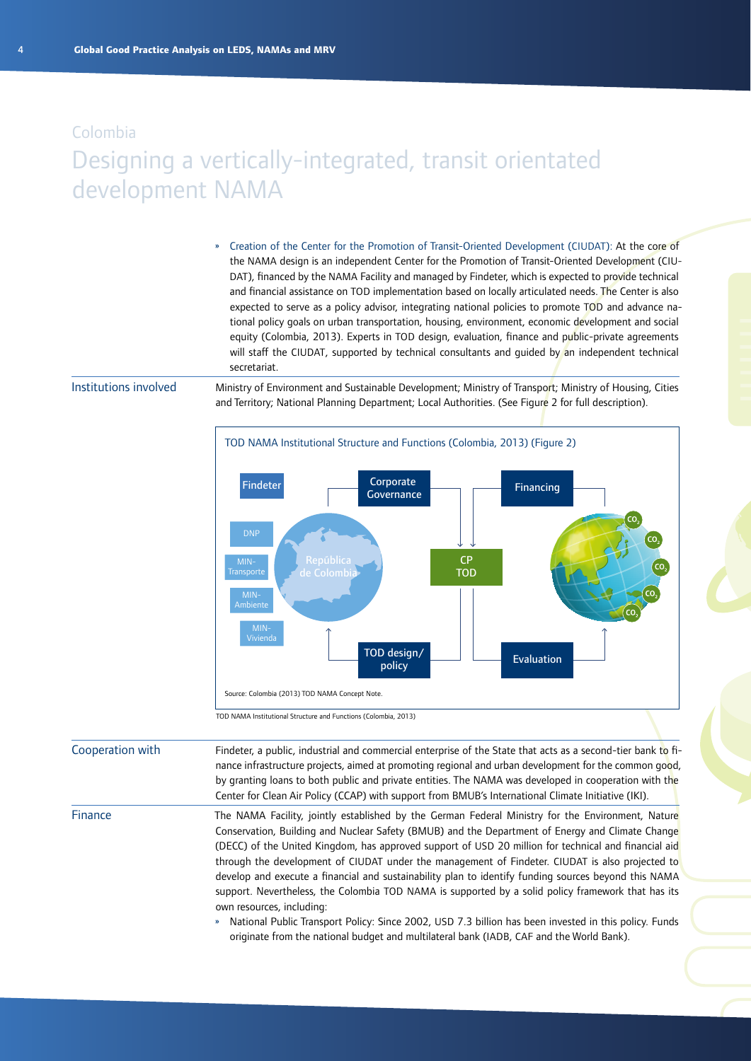### Designing a vertically-integrated, transit orientated development NAMA

» Creation of the Center for the Promotion of Transit-Oriented Development (CIUDAT): At the core of the NAMA design is an independent Center for the Promotion of Transit-Oriented Development (CIU-DAT), financed by the NAMA Facility and managed by Findeter, which is expected to provide technical and financial assistance on TOD implementation based on locally articulated needs. The Center is also expected to serve as a policy advisor, integrating national policies to promote TOD and advance national policy goals on urban transportation, housing, environment, economic development and social equity (Colombia, 2013). Experts in TOD design, evaluation, finance and public-private agreements will staff the CIUDAT, supported by technical consultants and guided by an independent technical secretariat.

#### Institutions involved

Ministry of Environment and Sustainable Development; Ministry of Transport; Ministry of Housing, Cities and Territory; National Planning Department; Local Authorities. (See Figure 2 for full description).



TOD NAMA Institutional Structure and Functions (Colombia, 2013)

Findeter, a public, industrial and commercial enterprise of the State that acts as a second-tier bank to finance infrastructure projects, aimed at promoting regional and urban development for the common good, by granting loans to both public and private entities. The NAMA was developed in cooperation with the Center for Clean Air Policy (CCAP) with support from BMUB's International Climate Initiative (IKI). The NAMA Facility, jointly established by the German Federal Ministry for the Environment, Nature Conservation, Building and Nuclear Safety (BMUB) and the Department of Energy and Climate Change (DECC) of the United Kingdom, has approved support of USD 20 million for technical and financial aid through the development of CIUDAT under the management of Findeter. CIUDAT is also projected to develop and execute a financial and sustainability plan to identify funding sources beyond this NAMA Cooperation with Finance

> own resources, including: » National Public Transport Policy: Since 2002, USD 7.3 billion has been invested in this policy. Funds originate from the national budget and multilateral bank (IADB, CAF and the World Bank).

> support. Nevertheless, the Colombia TOD NAMA is supported by a solid policy framework that has its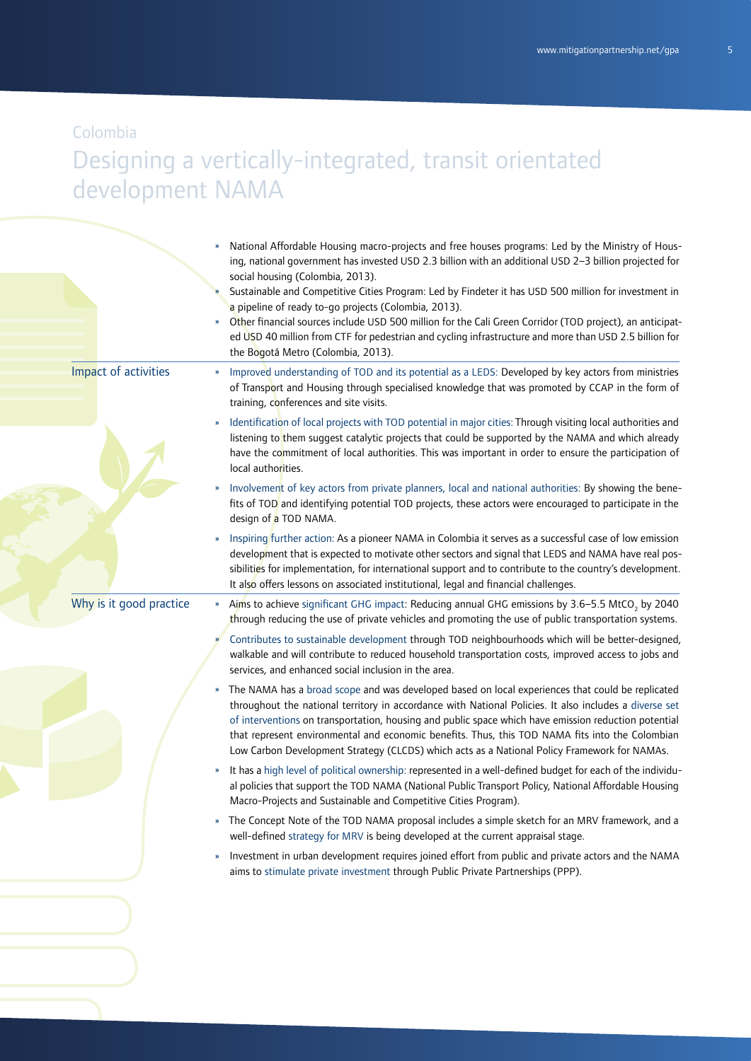Colombia

# Designing a vertically-integrated, transit orientated development NAMA

|                         | National Affordable Housing macro-projects and free houses programs: Led by the Ministry of Hous-<br>ing, national government has invested USD 2.3 billion with an additional USD 2-3 billion projected for<br>social housing (Colombia, 2013).<br>Sustainable and Competitive Cities Program: Led by Findeter it has USD 500 million for investment in<br>a pipeline of ready to-go projects (Colombia, 2013).<br>Other financial sources include USD 500 million for the Cali Green Corridor (TOD project), an anticipat-<br>»<br>ed USD 40 million from CTF for pedestrian and cycling infrastructure and more than USD 2.5 billion for<br>the Bogotá Metro (Colombia, 2013). |
|-------------------------|----------------------------------------------------------------------------------------------------------------------------------------------------------------------------------------------------------------------------------------------------------------------------------------------------------------------------------------------------------------------------------------------------------------------------------------------------------------------------------------------------------------------------------------------------------------------------------------------------------------------------------------------------------------------------------|
| Impact of activities    | Improved understanding of TOD and its potential as a LEDS: Developed by key actors from ministries<br>of Transport and Housing through specialised knowledge that was promoted by CCAP in the form of<br>training, conferences and site visits.                                                                                                                                                                                                                                                                                                                                                                                                                                  |
|                         | Identification of local projects with TOD potential in major cities: Through visiting local authorities and<br>listening to them suggest catalytic projects that could be supported by the NAMA and which already<br>have the commitment of local authorities. This was important in order to ensure the participation of<br>local authorities.                                                                                                                                                                                                                                                                                                                                  |
|                         | Involvement of key actors from private planners, local and national authorities: By showing the bene-<br>fits of TOD and identifying potential TOD projects, these actors were encouraged to participate in the<br>design of a TOD NAMA.                                                                                                                                                                                                                                                                                                                                                                                                                                         |
|                         | Inspiring further action: As a pioneer NAMA in Colombia it serves as a successful case of low emission<br>development that is expected to motivate other sectors and signal that LEDS and NAMA have real pos-<br>sibilities for implementation, for international support and to contribute to the country's development.<br>It also offers lessons on associated institutional, legal and financial challenges.                                                                                                                                                                                                                                                                 |
| Why is it good practice | Aims to achieve significant GHG impact: Reducing annual GHG emissions by 3.6-5.5 MtCO <sub>2</sub> by 2040<br>$\mathbf{v}$<br>through reducing the use of private vehicles and promoting the use of public transportation systems.                                                                                                                                                                                                                                                                                                                                                                                                                                               |
|                         | Contributes to sustainable development through TOD neighbourhoods which will be better-designed,<br>walkable and will contribute to reduced household transportation costs, improved access to jobs and<br>services, and enhanced social inclusion in the area.                                                                                                                                                                                                                                                                                                                                                                                                                  |
|                         | The NAMA has a broad scope and was developed based on local experiences that could be replicated<br>»<br>throughout the national territory in accordance with National Policies. It also includes a diverse set<br>of interventions on transportation, housing and public space which have emission reduction potential<br>that represent environmental and economic benefits. Thus, this TOD NAMA fits into the Colombian<br>Low Carbon Development Strategy (CLCDS) which acts as a National Policy Framework for NAMAs.                                                                                                                                                       |
|                         | It has a high level of political ownership: represented in a well-defined budget for each of the individu-<br>al policies that support the TOD NAMA (National Public Transport Policy, National Affordable Housing<br>Macro-Projects and Sustainable and Competitive Cities Program).                                                                                                                                                                                                                                                                                                                                                                                            |
|                         | The Concept Note of the TOD NAMA proposal includes a simple sketch for an MRV framework, and a<br>$\boldsymbol{\mathcal{V}}$<br>well-defined strategy for MRV is being developed at the current appraisal stage.                                                                                                                                                                                                                                                                                                                                                                                                                                                                 |
|                         | Investment in urban development requires joined effort from public and private actors and the NAMA<br>$\boldsymbol{\mathcal{Y}}$<br>aims to stimulate private investment through Public Private Partnerships (PPP).                                                                                                                                                                                                                                                                                                                                                                                                                                                              |
|                         |                                                                                                                                                                                                                                                                                                                                                                                                                                                                                                                                                                                                                                                                                  |
|                         |                                                                                                                                                                                                                                                                                                                                                                                                                                                                                                                                                                                                                                                                                  |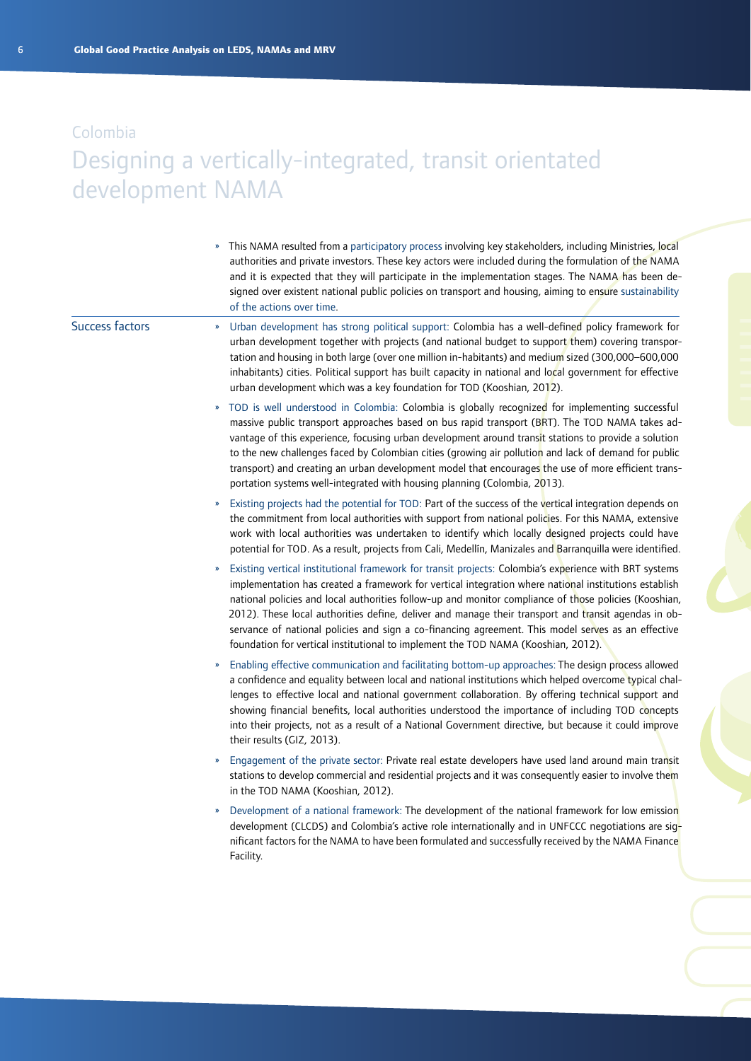### Designing a vertically-integrated, transit orientated development NAMA

» This NAMA resulted from a participatory process involving key stakeholders, including Ministries, local authorities and private investors. These key actors were included during the formulation of the NAMA and it is expected that they will participate in the implementation stages. The NAMA has been designed over existent national public policies on transport and housing, aiming to ensure sustainability of the actions over time.

Success factors

- » Urban development has strong political support: Colombia has a well-defined policy framework for urban development together with projects (and national budget to support them) covering transportation and housing in both large (over one million in-habitants) and medium sized (300,000–600,000 inhabitants) cities. Political support has built capacity in national and local government for effective urban development which was a key foundation for TOD (Kooshian, 2012).
- » TOD is well understood in Colombia: Colombia is globally recognized for implementing successful massive public transport approaches based on bus rapid transport (BRT). The TOD NAMA takes advantage of this experience, focusing urban development around transit stations to provide a solution to the new challenges faced by Colombian cities (growing air pollution and lack of demand for public transport) and creating an urban development model that encourages the use of more efficient transportation systems well-integrated with housing planning (Colombia, 2013).
- » Existing projects had the potential for TOD: Part of the success of the vertical integration depends on the commitment from local authorities with support from national policies. For this NAMA, extensive work with local authorities was undertaken to identify which locally designed projects could have potential for TOD. As a result, projects from Cali, Medellín, Manizales and Barranquilla were identified.
- » Existing vertical institutional framework for transit projects: Colombia's experience with BRT systems implementation has created a framework for vertical integration where national institutions establish national policies and local authorities follow-up and monitor compliance of those policies (Kooshian, 2012). These local authorities define, deliver and manage their transport and transit agendas in observance of national policies and sign a co-financing agreement. This model serves as an effective foundation for vertical institutional to implement the TOD NAMA (Kooshian, 2012).
- » Enabling effective communication and facilitating bottom-up approaches: The design process allowed a confidence and equality between local and national institutions which helped overcome typical challenges to effective local and national government collaboration. By offering technical support and showing financial benefits, local authorities understood the importance of including TOD concepts into their projects, not as a result of a National Government directive, but because it could improve their results (GIZ, 2013).
- Engagement of the private sector: Private real estate developers have used land around main transit stations to develop commercial and residential projects and it was consequently easier to involve them in the TOD NAMA (Kooshian, 2012).
- » Development of a national framework: The development of the national framework for low emission development (CLCDS) and Colombia's active role internationally and in UNFCCC negotiations are significant factors for the NAMA to have been formulated and successfully received by the NAMA Finance Facility.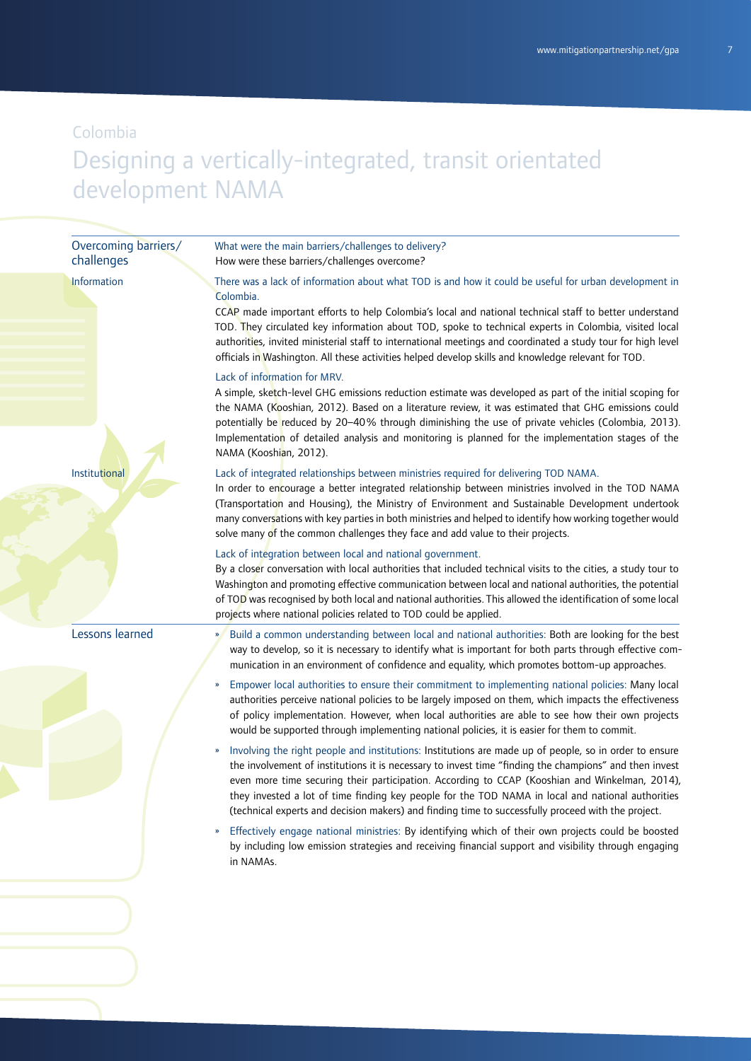# Designing a vertically-integrated, transit orientated development NAMA

| Overcoming barriers/<br>challenges | What were the main barriers/challenges to delivery?<br>How were these barriers/challenges overcome?                                                                                                                                                                                                                                                                                                                                                                                                                                                          |
|------------------------------------|--------------------------------------------------------------------------------------------------------------------------------------------------------------------------------------------------------------------------------------------------------------------------------------------------------------------------------------------------------------------------------------------------------------------------------------------------------------------------------------------------------------------------------------------------------------|
| Information<br>Institutional       | There was a lack of information about what TOD is and how it could be useful for urban development in<br>Colombia.<br>CCAP made important efforts to help Colombia's local and national technical staff to better understand<br>TOD. They circulated key information about TOD, spoke to technical experts in Colombia, visited local<br>authorities, invited ministerial staff to international meetings and coordinated a study tour for high level<br>officials in Washington. All these activities helped develop skills and knowledge relevant for TOD. |
|                                    | Lack of information for MRV.<br>A simple, sketch-level GHG emissions reduction estimate was developed as part of the initial scoping for<br>the NAMA (Kooshian, 2012). Based on a literature review, it was estimated that GHG emissions could<br>potentially be reduced by 20-40% through diminishing the use of private vehicles (Colombia, 2013).<br>Implementation of detailed analysis and monitoring is planned for the implementation stages of the<br>NAMA (Kooshian, 2012).                                                                         |
|                                    | Lack of integrated relationships between ministries required for delivering TOD NAMA.<br>In order to encourage a better integrated relationship between ministries involved in the TOD NAMA<br>(Transportation and Housing), the Ministry of Environment and Sustainable Development undertook<br>many conversations with key parties in both ministries and helped to identify how working together would<br>solve many of the common challenges they face and add value to their projects.                                                                 |
|                                    | Lack of integration between local and national government.<br>By a closer conversation with local authorities that included technical visits to the cities, a study tour to<br>Washington and promoting effective communication between local and national authorities, the potential<br>of TOD was recognised by both local and national authorities. This allowed the identification of some local<br>projects where national policies related to TOD could be applied.                                                                                    |
| Lessons learned                    | Build a common understanding between local and national authorities: Both are looking for the best<br>way to develop, so it is necessary to identify what is important for both parts through effective com-<br>munication in an environment of confidence and equality, which promotes bottom-up approaches.                                                                                                                                                                                                                                                |
|                                    | Empower local authorities to ensure their commitment to implementing national policies: Many local<br>»<br>authorities perceive national policies to be largely imposed on them, which impacts the effectiveness<br>of policy implementation. However, when local authorities are able to see how their own projects<br>would be supported through implementing national policies, it is easier for them to commit.                                                                                                                                          |
|                                    | Involving the right people and institutions: Institutions are made up of people, so in order to ensure<br>$\boldsymbol{\mathcal{V}}$<br>the involvement of institutions it is necessary to invest time "finding the champions" and then invest<br>even more time securing their participation. According to CCAP (Kooshian and Winkelman, 2014),<br>they invested a lot of time finding key people for the TOD NAMA in local and national authorities<br>(technical experts and decision makers) and finding time to successfully proceed with the project.  |
|                                    | Effectively engage national ministries: By identifying which of their own projects could be boosted<br>$\boldsymbol{\mathcal{V}}$<br>by including low emission strategies and receiving financial support and visibility through engaging<br>in NAMAs.                                                                                                                                                                                                                                                                                                       |
|                                    |                                                                                                                                                                                                                                                                                                                                                                                                                                                                                                                                                              |
|                                    |                                                                                                                                                                                                                                                                                                                                                                                                                                                                                                                                                              |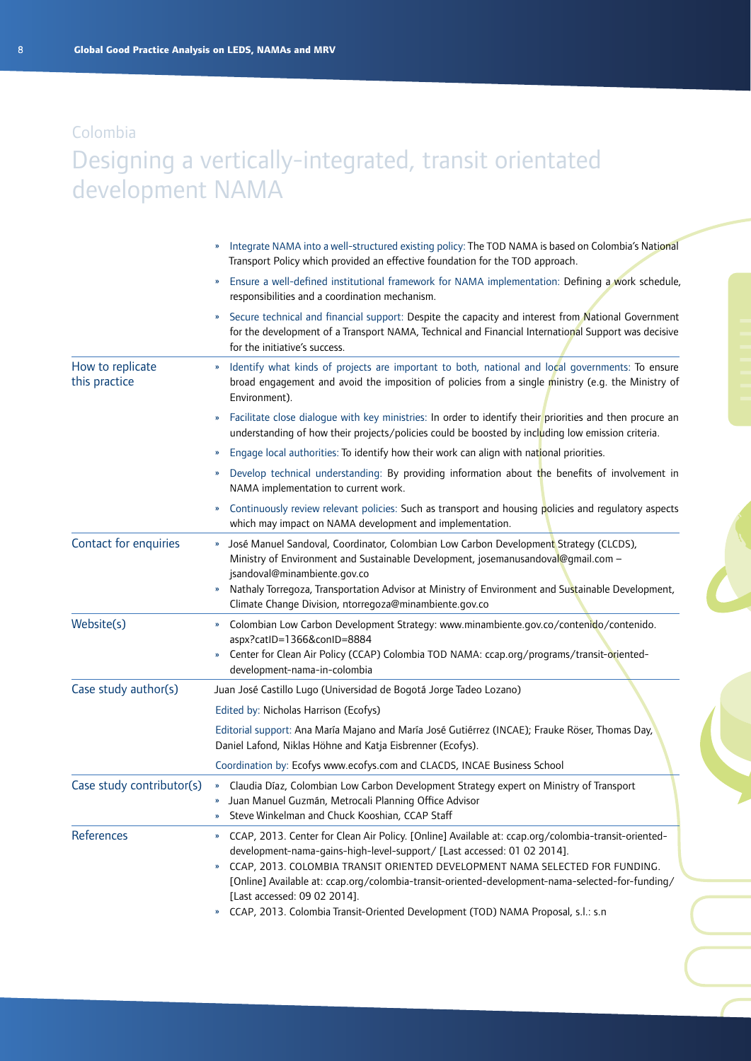## Designing a vertically-integrated, transit orientated development NAMA

|                                   | Integrate NAMA into a well-structured existing policy: The TOD NAMA is based on Colombia's National<br>Transport Policy which provided an effective foundation for the TOD approach.                                                                                                                                                                                                                                                                                                                                                                                             |
|-----------------------------------|----------------------------------------------------------------------------------------------------------------------------------------------------------------------------------------------------------------------------------------------------------------------------------------------------------------------------------------------------------------------------------------------------------------------------------------------------------------------------------------------------------------------------------------------------------------------------------|
|                                   | Ensure a well-defined institutional framework for NAMA implementation: Defining a work schedule,<br>$\boldsymbol{\mathcal{Y}}$<br>responsibilities and a coordination mechanism.                                                                                                                                                                                                                                                                                                                                                                                                 |
|                                   | Secure technical and financial support: Despite the capacity and interest from National Government<br>$\boldsymbol{\mathcal{V}}$<br>for the development of a Transport NAMA, Technical and Financial International Support was decisive<br>for the initiative's success.                                                                                                                                                                                                                                                                                                         |
| How to replicate<br>this practice | Identify what kinds of projects are important to both, national and local governments: To ensure<br>broad engagement and avoid the imposition of policies from a single ministry (e.g. the Ministry of<br>Environment).                                                                                                                                                                                                                                                                                                                                                          |
|                                   | Facilitate close dialogue with key ministries: In order to identify their priorities and then procure an<br>$\boldsymbol{\mathcal{Y}}$<br>understanding of how their projects/policies could be boosted by including low emission criteria.                                                                                                                                                                                                                                                                                                                                      |
|                                   | Engage local authorities: To identify how their work can align with national priorities.<br>»                                                                                                                                                                                                                                                                                                                                                                                                                                                                                    |
|                                   | Develop technical understanding: By providing information about the benefits of involvement in<br>NAMA implementation to current work.                                                                                                                                                                                                                                                                                                                                                                                                                                           |
|                                   | Continuously review relevant policies: Such as transport and housing policies and regulatory aspects<br>$\boldsymbol{\mathcal{Y}}$<br>which may impact on NAMA development and implementation.                                                                                                                                                                                                                                                                                                                                                                                   |
| Contact for enquiries             | José Manuel Sandoval, Coordinator, Colombian Low Carbon Development Strategy (CLCDS),<br>Ministry of Environment and Sustainable Development, josemanusandoval@qmail.com -<br>jsandoval@minambiente.gov.co<br>Nathaly Torregoza, Transportation Advisor at Ministry of Environment and Sustainable Development,<br>$\boldsymbol{\mathcal{Y}}$<br>Climate Change Division, ntorregoza@minambiente.gov.co                                                                                                                                                                          |
| Website(s)                        | Colombian Low Carbon Development Strategy: www.minambiente.gov.co/contenido/contenido.<br>$\boldsymbol{\mathcal{Y}}$<br>aspx?catID=1366&conID=8884<br>Center for Clean Air Policy (CCAP) Colombia TOD NAMA: ccap.org/programs/transit-oriented-<br>development-nama-in-colombia                                                                                                                                                                                                                                                                                                  |
| Case study author(s)              | Juan José Castillo Lugo (Universidad de Bogotá Jorge Tadeo Lozano)                                                                                                                                                                                                                                                                                                                                                                                                                                                                                                               |
|                                   | Edited by: Nicholas Harrison (Ecofys)                                                                                                                                                                                                                                                                                                                                                                                                                                                                                                                                            |
|                                   | Editorial support: Ana María Majano and María José Gutiérrez (INCAE); Frauke Röser, Thomas Day,<br>Daniel Lafond, Niklas Höhne and Katja Eisbrenner (Ecofys).                                                                                                                                                                                                                                                                                                                                                                                                                    |
|                                   | Coordination by: Ecofys www.ecofys.com and CLACDS, INCAE Business School                                                                                                                                                                                                                                                                                                                                                                                                                                                                                                         |
| Case study contributor(s)         | » Claudia Díaz, Colombian Low Carbon Development Strategy expert on Ministry of Transport<br>» Juan Manuel Guzmán, Metrocali Planning Office Advisor<br>Steve Winkelman and Chuck Kooshian, CCAP Staff                                                                                                                                                                                                                                                                                                                                                                           |
| References                        | CCAP, 2013. Center for Clean Air Policy. [Online] Available at: ccap.org/colombia-transit-oriented-<br>$\boldsymbol{\mathcal{V}}$<br>development-nama-gains-high-level-support/ [Last accessed: 01 02 2014].<br>CCAP, 2013. COLOMBIA TRANSIT ORIENTED DEVELOPMENT NAMA SELECTED FOR FUNDING.<br>$\boldsymbol{\mathcal{V}}$<br>[Online] Available at: ccap.org/colombia-transit-oriented-development-nama-selected-for-funding/<br>[Last accessed: 09 02 2014].<br>CCAP, 2013. Colombia Transit-Oriented Development (TOD) NAMA Proposal, s.l.: s.n<br>$\boldsymbol{\mathcal{Y}}$ |